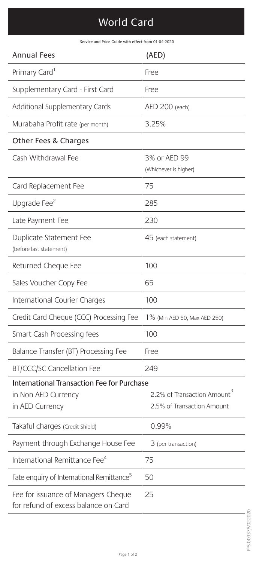## World Card

Service and Price Guide with effect from 01-04-2020

| <b>Annual Fees</b>                                                                   | (AED)                                                                 |
|--------------------------------------------------------------------------------------|-----------------------------------------------------------------------|
| Primary Card <sup>1</sup>                                                            | Free                                                                  |
| Supplementary Card - First Card                                                      | Free                                                                  |
| Additional Supplementary Cards                                                       | AED 200 (each)                                                        |
| Murabaha Profit rate (per month)                                                     | 3.25%                                                                 |
| Other Fees & Charges                                                                 |                                                                       |
| Cash Withdrawal Fee                                                                  | 3% or AED 99<br>(Whichever is higher)                                 |
| Card Replacement Fee                                                                 | 75                                                                    |
| Upgrade Fee <sup>2</sup>                                                             | 285                                                                   |
| Late Payment Fee                                                                     | 230                                                                   |
| Duplicate Statement Fee<br>(before last statement)                                   | 45 (each statement)                                                   |
| Returned Cheque Fee                                                                  | 100                                                                   |
| Sales Voucher Copy Fee                                                               | 65                                                                    |
| International Courier Charges                                                        | 100                                                                   |
| Credit Card Cheque (CCC) Processing Fee                                              | 1% (Min AED 50, Max AED 250)                                          |
| Smart Cash Processing fees                                                           | 100                                                                   |
| Balance Transfer (BT) Processing Fee                                                 | Free                                                                  |
| <b>BT/CCC/SC Cancellation Fee</b>                                                    | 249                                                                   |
| International Transaction Fee for Purchase<br>in Non AED Currency<br>in AED Currency | 2.2% of Transaction Amount <sup>3</sup><br>2.5% of Transaction Amount |
| Takaful charges (Credit Shield)                                                      | 0.99%                                                                 |
| Payment through Exchange House Fee                                                   | 3 (per transaction)                                                   |
| International Remittance Fee <sup>4</sup>                                            | 75                                                                    |
| Fate enquiry of International Remittance <sup>5</sup>                                | 50                                                                    |
| Fee for issuance of Managers Cheque<br>for refund of excess balance on Card          | 25                                                                    |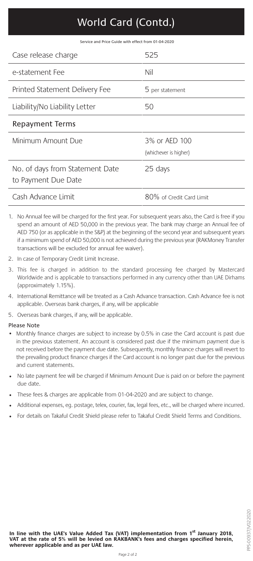# World Card (Contd.)

Service and Price Guide with effect from 01-04-2020

| Case release charge                                    | 525                                    |
|--------------------------------------------------------|----------------------------------------|
| e-statement Fee                                        | Nil                                    |
| Printed Statement Delivery Fee                         | 5 per statement                        |
| Liability/No Liability Letter                          | 50                                     |
| Repayment Terms                                        |                                        |
| Minimum Amount Due                                     | 3% or AED 100<br>(whichever is higher) |
| No. of days from Statement Date<br>to Payment Due Date | 25 days                                |
| Cash Advance Limit                                     | 80% of Credit Card Limit               |

- 1. No Annual fee will be charged for the first year. For subsequent years also, the Card is free if you spend an amount of AED 50,000 in the previous year. The bank may charge an Annual fee of AED 750 (or as applicable in the S&P) at the beginning of the second year and subsequent years if a minimum spend of AED 50,000 is not achieved during the previous year (RAKMoney Transfer transactions will be excluded for annual fee waiver).
- 2. In case of Temporary Credit Limit Increase.
- 3. This fee is charged in addition to the standard processing fee charged by Mastercard Worldwide and is applicable to transactions performed in any currency other than UAE Dirhams (approximately 1.15%).
- 4. International Remittance will be treated as a Cash Advance transaction. Cash Advance fee is not applicable. Overseas bank charges, if any, will be applicable

5. Overseas bank charges, if any, will be applicable.

#### Please Note

- Monthly finance charges are subject to increase by 0.5% in case the Card account is past due in the previous statement. An account is considered past due if the minimum payment due is not received before the payment due date. Subsequently, monthly finance charges will revert to the prevailing product finance charges if the Card account is no longer past due for the previous and current statements.
- No late payment fee will be charged if Minimum Amount Due is paid on or before the payment due date.
- These fees & charges are applicable from 01-04-2020 and are subject to change.
- Additional expenses, eg. postage, telex, courier, fax, legal fees, etc., will be charged where incurred.
- For details on Takaful Credit Shield please refer to Takaful Credit Shield Terms and Conditions.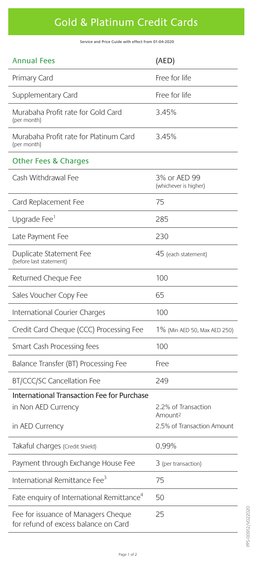### Gold & Platinum Credit Cards

Service and Price Guide with effect from 01-04-2020

| <b>Annual Fees</b>                                                          | (AED)                                      |
|-----------------------------------------------------------------------------|--------------------------------------------|
| Primary Card                                                                | Free for life                              |
| Supplementary Card                                                          | Free for life                              |
| Murabaha Profit rate for Gold Card<br>(per month)                           | 3.45%                                      |
| Murabaha Profit rate for Platinum Card<br>(per month)                       | 3.45%                                      |
| <b>Other Fees &amp; Charges</b>                                             |                                            |
| Cash Withdrawal Fee                                                         | 3% or AED 99<br>(whichever is higher)      |
| Card Replacement Fee                                                        | 75                                         |
| Upgrade Fee <sup>1</sup>                                                    | 285                                        |
| Late Payment Fee                                                            | 230                                        |
| Duplicate Statement Fee<br>(before last statement)                          | 45 (each statement)                        |
| Returned Cheque Fee                                                         | 100                                        |
| Sales Voucher Copy Fee                                                      | 65                                         |
| International Courier Charges                                               | 100                                        |
| Credit Card Cheque (CCC) Processing Fee                                     | 1% (Min AED 50, Max AED 250)               |
| Smart Cash Processing fees                                                  | 100                                        |
| Balance Transfer (BT) Processing Fee                                        | Free                                       |
| <b>BT/CCC/SC Cancellation Fee</b>                                           | 249                                        |
| International Transaction Fee for Purchase<br>in Non AED Currency           | 2.2% of Transaction<br>Amount <sup>2</sup> |
| in AED Currency                                                             | 2.5% of Transaction Amount                 |
| Takaful charges (Credit Shield)                                             | 0.99%                                      |
| Payment through Exchange House Fee                                          | 3 (per transaction)                        |
| International Remittance Fee <sup>3</sup>                                   | 75                                         |
| Fate enquiry of International Remittance <sup>4</sup>                       | 50                                         |
| Fee for issuance of Managers Cheque<br>for refund of excess balance on Card | 25                                         |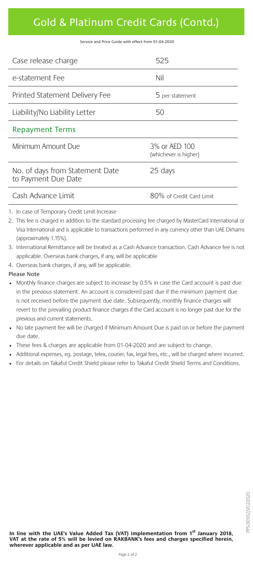### Gold & Platinum Credit Cards (Contd.)

Service and Price Guide with effect from 01-04-2020

| Case release charge                                    | 525                                    |
|--------------------------------------------------------|----------------------------------------|
| e-statement Fee                                        | Nil                                    |
| Printed Statement Delivery Fee                         | 5 per statement                        |
| Liability/No Liability Letter                          | 50                                     |
| <b>Repayment Terms</b>                                 |                                        |
| Minimum Amount Due                                     | 3% or AED 100<br>(whichever is higher) |
| No. of days from Statement Date<br>to Payment Due Date | 25 days                                |
| Cash Advance Limit                                     | 80% of Credit Card Limit               |

- 1. In case of Temporary Credit Limit Increase
- 2. This fee is charged in addition to the standard processing fee charged by MasterCard International or Visa International and is applicable to transactions performed in any currency other than UAE Dirhams (approximately 1.15%).
- 3. International Remittance will be treated as a Cash Advance transaction. Cash Advance fee is not applicable. Overseas bank charges, if any, will be applicable
- 4. Overseas bank charges, if any, will be applicable.

#### Please Note

- Monthly finance charges are subject to increase by 0.5% in case the Card account is past due in the previous statement. An account is considered past due if the minimum payment due is not received before the payment due date. Subsequently, monthly finance charges will revert to the prevailing product finance charges if the Card account is no longer past due for the previous and current statements.
- No late payment fee will be charged if Minimum Amount Due is paid on or before the payment due date.
- These fees & charges are applicable from 01-04-2020 and are subject to change.
- Additional expenses, eg. postage, telex, courier, fax, legal fees, etc., will be charged where incurred.
- For details on Takaful Credit Shield please refer to Takaful Credit Shield Terms and Conditions.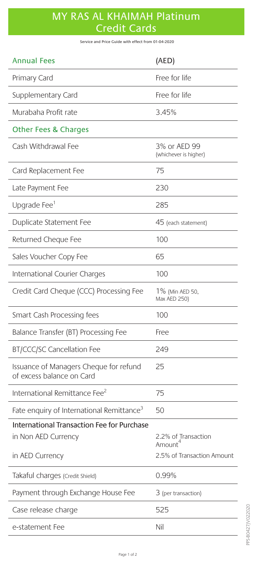### MY RAS AL KHAIMAH Platinum Credit Cards

Service and Price Guide with effect from 01-04-2020

| <b>Annual Fees</b>                                                                   | (AED)                                                       |
|--------------------------------------------------------------------------------------|-------------------------------------------------------------|
| Primary Card                                                                         | Free for life                                               |
| Supplementary Card                                                                   | Free for life                                               |
| Murabaha Profit rate                                                                 | 3.45%                                                       |
| <b>Other Fees &amp; Charges</b>                                                      |                                                             |
| Cash Withdrawal Fee                                                                  | 3% or AED 99<br>(whichever is higher)                       |
| Card Replacement Fee                                                                 | 75                                                          |
| Late Payment Fee                                                                     | 230                                                         |
| Upgrade Fee <sup>1</sup>                                                             | 285                                                         |
| Duplicate Statement Fee                                                              | 45 (each statement)                                         |
| Returned Cheque Fee                                                                  | 100                                                         |
| Sales Voucher Copy Fee                                                               | 65                                                          |
| International Courier Charges                                                        | 100                                                         |
| Credit Card Cheque (CCC) Processing Fee                                              | 1% (Min AED 50,<br>Max AED 250)                             |
| Smart Cash Processing fees                                                           | 100                                                         |
| Balance Transfer (BT) Processing Fee                                                 | Free                                                        |
| BT/CCC/SC Cancellation Fee                                                           | 249                                                         |
| Issuance of Managers Cheque for refund<br>of excess balance on Card                  | 25                                                          |
| International Remittance Fee <sup>2</sup>                                            | 75                                                          |
| Fate enquiry of International Remittance <sup>3</sup>                                | 50                                                          |
| International Transaction Fee for Purchase<br>in Non AED Currency<br>in AED Currency | 2.2% of Transaction<br>Amount<br>2.5% of Transaction Amount |
| Takaful charges (Credit Shield)                                                      | 0.99%                                                       |
| Payment through Exchange House Fee                                                   | 3 (per transaction)                                         |
| Case release charge                                                                  | 525                                                         |
| e-statement Fee                                                                      | Nil                                                         |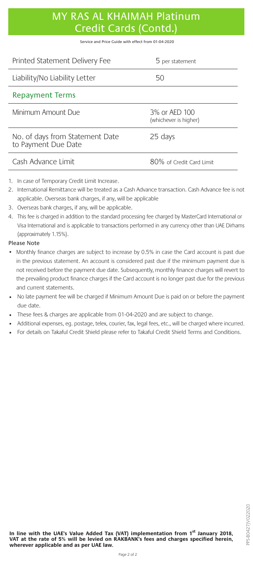### MY RAS AL KHAIMAH Platinum Credit Cards (Contd.)

Service and Price Guide with effect from 01-04-2020

| Printed Statement Delivery Fee                         | 5 per statement                        |
|--------------------------------------------------------|----------------------------------------|
| Liability/No Liability Letter                          | 50                                     |
| <b>Repayment Terms</b>                                 |                                        |
| Minimum Amount Due                                     | 3% or AED 100<br>(whichever is higher) |
| No. of days from Statement Date<br>to Payment Due Date | 25 days                                |
| Cash Advance Limit                                     | 80% of Credit Card Limit               |

- 1. In case of Temporary Credit Limit Increase.
- 2. International Remittance will be treated as a Cash Advance transaction. Cash Advance fee is not applicable. Overseas bank charges, if any, will be applicable
- 3. Overseas bank charges, if any, will be applicable.
- 4. This fee is charged in addition to the standard processing fee charged by MasterCard International or Visa International and is applicable to transactions performed in any currency other than UAE Dirhams (approximately 1.15%).

#### Please Note

- Monthly finance charges are subject to increase by 0.5% in case the Card account is past due in the previous statement. An account is considered past due if the minimum payment due is not received before the payment due date. Subsequently, monthly finance charges will revert to the prevailing product finance charges if the Card account is no longer past due for the previous and current statements.
- No late payment fee will be charged if Minimum Amount Due is paid on or before the payment due date.
- These fees & charges are applicable from 01-04-2020 and are subject to change.
- Additional expenses, eg. postage, telex, courier, fax, legal fees, etc., will be charged where incurred.
- For details on Takaful Credit Shield please refer to Takaful Credit Shield Terms and Conditions.